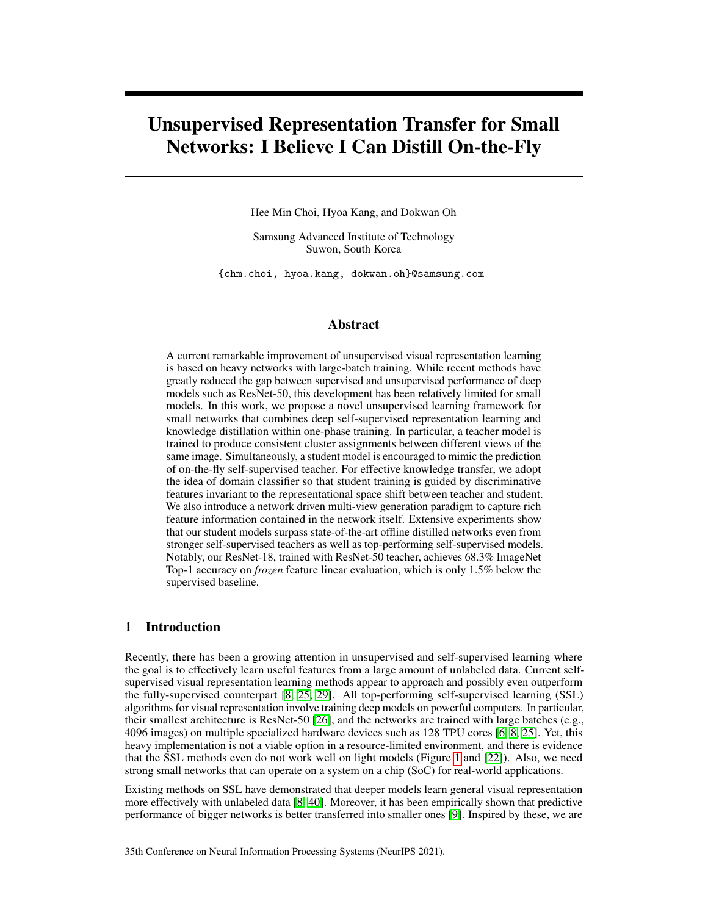# Unsupervised Representation Transfer for Small Networks: I Believe I Can Distill On-the-Fly

Hee Min Choi, Hyoa Kang, and Dokwan Oh

Samsung Advanced Institute of Technology Suwon, South Korea

{chm.choi, hyoa.kang, dokwan.oh}@samsung.com

# Abstract

A current remarkable improvement of unsupervised visual representation learning is based on heavy networks with large-batch training. While recent methods have greatly reduced the gap between supervised and unsupervised performance of deep models such as ResNet-50, this development has been relatively limited for small models. In this work, we propose a novel unsupervised learning framework for small networks that combines deep self-supervised representation learning and knowledge distillation within one-phase training. In particular, a teacher model is trained to produce consistent cluster assignments between different views of the same image. Simultaneously, a student model is encouraged to mimic the prediction of on-the-fly self-supervised teacher. For effective knowledge transfer, we adopt the idea of domain classifier so that student training is guided by discriminative features invariant to the representational space shift between teacher and student. We also introduce a network driven multi-view generation paradigm to capture rich feature information contained in the network itself. Extensive experiments show that our student models surpass state-of-the-art offline distilled networks even from stronger self-supervised teachers as well as top-performing self-supervised models. Notably, our ResNet-18, trained with ResNet-50 teacher, achieves 68.3% ImageNet Top-1 accuracy on *frozen* feature linear evaluation, which is only 1.5% below the supervised baseline.

## 1 Introduction

Recently, there has been a growing attention in unsupervised and self-supervised learning where the goal is to effectively learn useful features from a large amount of unlabeled data. Current selfsupervised visual representation learning methods appear to approach and possibly even outperform the fully-supervised counterpart [\[8,](#page-9-0) [25,](#page-10-0) [29\]](#page-11-0). All top-performing self-supervised learning (SSL) algorithms for visual representation involve training deep models on powerful computers. In particular, their smallest architecture is ResNet-50 [\[26\]](#page-11-1), and the networks are trained with large batches (e.g., 4096 images) on multiple specialized hardware devices such as 128 TPU cores [\[6,](#page-9-1) [8,](#page-9-0) [25\]](#page-10-0). Yet, this heavy implementation is not a viable option in a resource-limited environment, and there is evidence that the SSL methods even do not work well on light models (Figure [1](#page-1-0) and [\[22\]](#page-10-1)). Also, we need strong small networks that can operate on a system on a chip (SoC) for real-world applications.

Existing methods on SSL have demonstrated that deeper models learn general visual representation more effectively with unlabeled data [\[8,](#page-9-0) [40\]](#page-11-2). Moreover, it has been empirically shown that predictive performance of bigger networks is better transferred into smaller ones [\[9\]](#page-9-2). Inspired by these, we are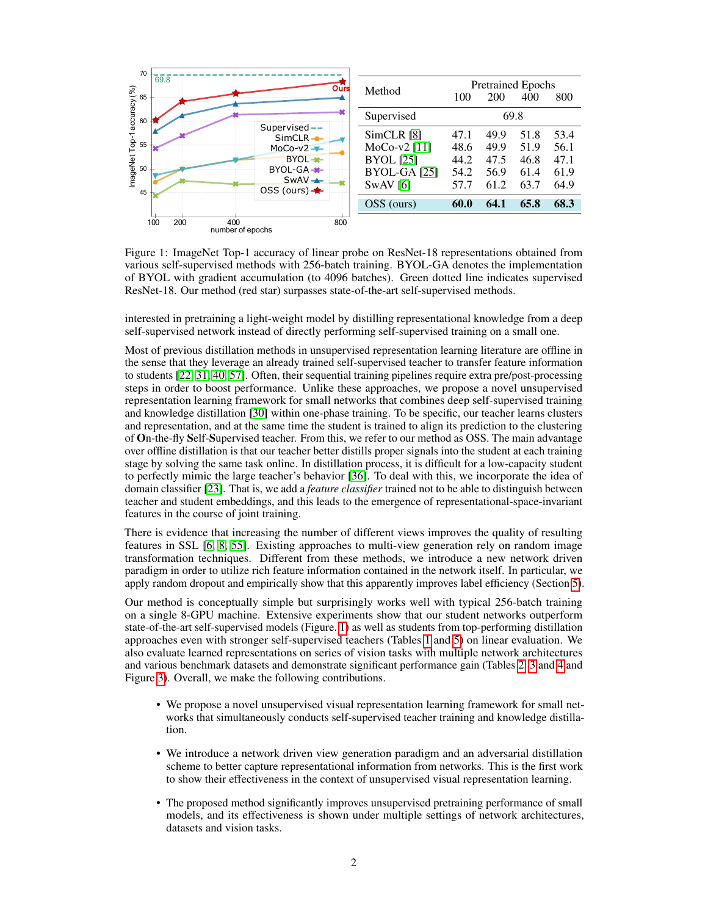<span id="page-1-0"></span>

Figure 1: ImageNet Top-1 accuracy of linear probe on ResNet-18 representations obtained from various self-supervised methods with 256-batch training. BYOL-GA denotes the implementation of BYOL with gradient accumulation (to 4096 batches). Green dotted line indicates supervised ResNet-18. Our method (red star) surpasses state-of-the-art self-supervised methods.

interested in pretraining a light-weight model by distilling representational knowledge from a deep self-supervised network instead of directly performing self-supervised training on a small one.

Most of previous distillation methods in unsupervised representation learning literature are offline in the sense that they leverage an already trained self-supervised teacher to transfer feature information to students [\[22,](#page-10-1) [31,](#page-11-3) [40,](#page-11-2) [57\]](#page-13-0). Often, their sequential training pipelines require extra pre/post-processing steps in order to boost performance. Unlike these approaches, we propose a novel unsupervised representation learning framework for small networks that combines deep self-supervised training and knowledge distillation [\[30\]](#page-11-4) within one-phase training. To be specific, our teacher learns clusters and representation, and at the same time the student is trained to align its prediction to the clustering of On-the-fly Self-Supervised teacher. From this, we refer to our method as OSS. The main advantage over offline distillation is that our teacher better distills proper signals into the student at each training stage by solving the same task online. In distillation process, it is difficult for a low-capacity student to perfectly mimic the large teacher's behavior [\[36\]](#page-11-5). To deal with this, we incorporate the idea of domain classifier [\[23\]](#page-10-3). That is, we add a *feature classifier* trained not to be able to distinguish between teacher and student embeddings, and this leads to the emergence of representational-space-invariant features in the course of joint training.

There is evidence that increasing the number of different views improves the quality of resulting features in SSL [\[6,](#page-9-1) [8,](#page-9-0) [55\]](#page-12-0). Existing approaches to multi-view generation rely on random image transformation techniques. Different from these methods, we introduce a new network driven paradigm in order to utilize rich feature information contained in the network itself. In particular, we apply random dropout and empirically show that this apparently improves label efficiency (Section [5\)](#page-6-0).

Our method is conceptually simple but surprisingly works well with typical 256-batch training on a single 8-GPU machine. Extensive experiments show that our student networks outperform state-of-the-art self-supervised models (Figure. [1\)](#page-1-0) as well as students from top-performing distillation approaches even with stronger self-supervised teachers (Tables [1](#page-4-0) and [5\)](#page-6-1) on linear evaluation. We also evaluate learned representations on series of vision tasks with multiple network architectures and various benchmark datasets and demonstrate significant performance gain (Tables [2,](#page-4-0) [3](#page-5-0) and [4](#page-6-1) and Figure [3\)](#page-6-2). Overall, we make the following contributions.

- We propose a novel unsupervised visual representation learning framework for small networks that simultaneously conducts self-supervised teacher training and knowledge distillation.
- We introduce a network driven view generation paradigm and an adversarial distillation scheme to better capture representational information from networks. This is the first work to show their effectiveness in the context of unsupervised visual representation learning.
- The proposed method significantly improves unsupervised pretraining performance of small models, and its effectiveness is shown under multiple settings of network architectures, datasets and vision tasks.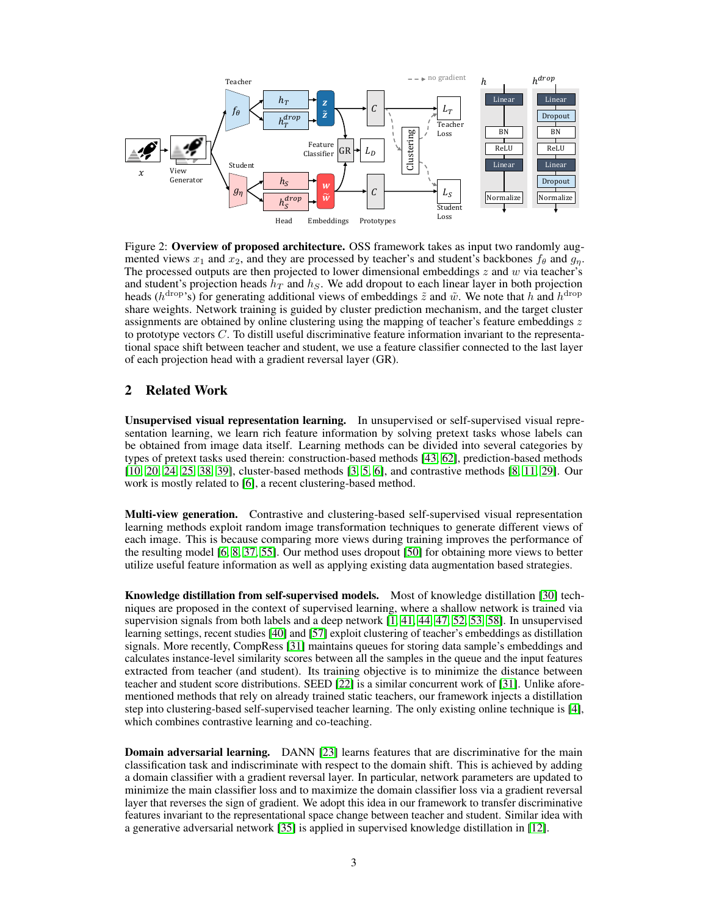<span id="page-2-0"></span>

Figure 2: Overview of proposed architecture. OSS framework takes as input two randomly augmented views  $x_1$  and  $x_2$ , and they are processed by teacher's and student's backbones  $f_\theta$  and  $g_n$ . The processed outputs are then projected to lower dimensional embeddings  $z$  and  $w$  via teacher's and student's projection heads  $h_T$  and  $h_S$ . We add dropout to each linear layer in both projection heads ( $h^{drop}$ 's) for generating additional views of embeddings  $\tilde{z}$  and  $\tilde{w}$ . We note that  $h$  and  $h^{drop}$ share weights. Network training is guided by cluster prediction mechanism, and the target cluster assignments are obtained by online clustering using the mapping of teacher's feature embeddings  $z$ to prototype vectors  $C$ . To distill useful discriminative feature information invariant to the representational space shift between teacher and student, we use a feature classifier connected to the last layer of each projection head with a gradient reversal layer (GR).

# 2 Related Work

Unsupervised visual representation learning. In unsupervised or self-supervised visual representation learning, we learn rich feature information by solving pretext tasks whose labels can be obtained from image data itself. Learning methods can be divided into several categories by types of pretext tasks used therein: construction-based methods [\[43,](#page-12-1) [62\]](#page-13-1), prediction-based methods [\[10,](#page-10-4) [20,](#page-10-5) [24,](#page-10-6) [25,](#page-10-0) [38,](#page-11-6) [39\]](#page-11-7), cluster-based methods [\[3,](#page-9-3) [5,](#page-9-4) [6\]](#page-9-1), and contrastive methods [\[8,](#page-9-0) [11,](#page-10-2) [29\]](#page-11-0). Our work is mostly related to [\[6\]](#page-9-1), a recent clustering-based method.

Multi-view generation. Contrastive and clustering-based self-supervised visual representation learning methods exploit random image transformation techniques to generate different views of each image. This is because comparing more views during training improves the performance of the resulting model [\[6,](#page-9-1) [8,](#page-9-0) [37,](#page-11-8) [55\]](#page-12-0). Our method uses dropout [\[50\]](#page-12-2) for obtaining more views to better utilize useful feature information as well as applying existing data augmentation based strategies.

Knowledge distillation from self-supervised models. Most of knowledge distillation [\[30\]](#page-11-4) techniques are proposed in the context of supervised learning, where a shallow network is trained via supervision signals from both labels and a deep network [\[1,](#page-9-5) [41,](#page-11-9) [44,](#page-12-3) [47,](#page-12-4) [52,](#page-12-5) [53,](#page-12-6) [58\]](#page-13-2). In unsupervised learning settings, recent studies [\[40\]](#page-11-2) and [\[57\]](#page-13-0) exploit clustering of teacher's embeddings as distillation signals. More recently, CompRess [\[31\]](#page-11-3) maintains queues for storing data sample's embeddings and calculates instance-level similarity scores between all the samples in the queue and the input features extracted from teacher (and student). Its training objective is to minimize the distance between teacher and student score distributions. SEED [\[22\]](#page-10-1) is a similar concurrent work of [\[31\]](#page-11-3). Unlike aforementioned methods that rely on already trained static teachers, our framework injects a distillation step into clustering-based self-supervised teacher learning. The only existing online technique is [\[4\]](#page-9-6), which combines contrastive learning and co-teaching.

**Domain adversarial learning.** DANN [\[23\]](#page-10-3) learns features that are discriminative for the main classification task and indiscriminate with respect to the domain shift. This is achieved by adding a domain classifier with a gradient reversal layer. In particular, network parameters are updated to minimize the main classifier loss and to maximize the domain classifier loss via a gradient reversal layer that reverses the sign of gradient. We adopt this idea in our framework to transfer discriminative features invariant to the representational space change between teacher and student. Similar idea with a generative adversarial network [\[35\]](#page-11-10) is applied in supervised knowledge distillation in [\[12\]](#page-10-7).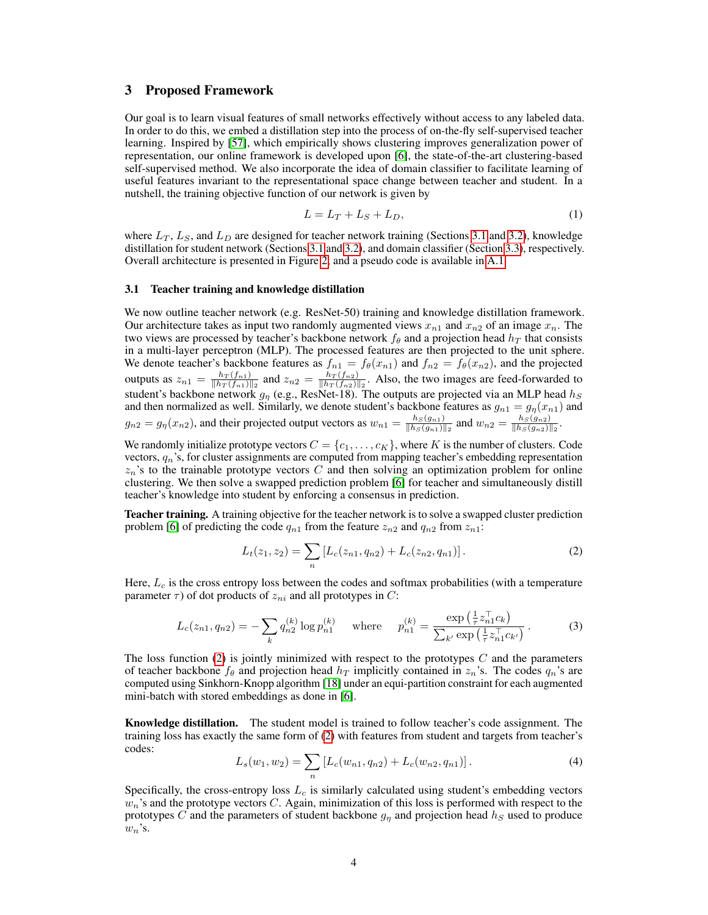## 3 Proposed Framework

Our goal is to learn visual features of small networks effectively without access to any labeled data. In order to do this, we embed a distillation step into the process of on-the-fly self-supervised teacher learning. Inspired by [\[57\]](#page-13-0), which empirically shows clustering improves generalization power of representation, our online framework is developed upon [\[6\]](#page-9-1), the state-of-the-art clustering-based self-supervised method. We also incorporate the idea of domain classifier to facilitate learning of useful features invariant to the representational space change between teacher and student. In a nutshell, the training objective function of our network is given by

<span id="page-3-2"></span>
$$
L = L_T + L_S + L_D,\tag{1}
$$

where  $L_T$ ,  $L_S$ , and  $L_D$  are designed for teacher network training (Sections [3.1](#page-3-0) and [3.2\)](#page-4-1), knowledge distillation for student network (Sections [3.1](#page-3-0) and [3.2\)](#page-4-1), and domain classifier (Section [3.3\)](#page-4-2), respectively. Overall architecture is presented in Figure [2,](#page-2-0) and a pseudo code is available in [A.1.](#page--1-0)

#### <span id="page-3-0"></span>3.1 Teacher training and knowledge distillation

We now outline teacher network (e.g. ResNet-50) training and knowledge distillation framework. Our architecture takes as input two randomly augmented views  $x_{n1}$  and  $x_{n2}$  of an image  $x_n$ . The two views are processed by teacher's backbone network  $f_\theta$  and a projection head  $h_T$  that consists in a multi-layer perceptron (MLP). The processed features are then projected to the unit sphere. We denote teacher's backbone features as  $f_{n1} = f_{\theta}(x_{n1})$  and  $f_{n2} = f_{\theta}(x_{n2})$ , and the projected outputs as  $z_{n1} = \frac{h_T(f_{n1})}{\|h_T(f_{n1})\|}$  $\frac{h_T(f_{n1})}{\|h_T(f_{n1})\|_2}$  and  $z_{n2} = \frac{h_T(f_{n2})}{\|h_T(f_{n2})\|_2}$  $\frac{h_T(f_{n2})}{\|h_T(f_{n2})\|_2}$ . Also, the two images are feed-forwarded to student's backbone network  $g_{\eta}$  (e.g., ResNet-18). The outputs are projected via an MLP head  $h_S$ and then normalized as well. Similarly, we denote student's backbone features as  $g_{n1} = g_{\eta}(x_{n1})$  and  $g_{n2} = g_{\eta}(x_{n2})$ , and their projected output vectors as  $w_{n1} = \frac{h_S(g_{n1})}{||h_S(g_{n1})||}$  $\frac{h_S(g_{n1})}{\|h_S(g_{n1})\|_2}$  and  $w_{n2} = \frac{h_S(g_{n2})}{\|h_S(g_{n2})\|_2}$  $\frac{n_S(g_{n2})}{\|h_S(g_{n2})\|_2}$ .

We randomly initialize prototype vectors  $C = \{c_1, \ldots, c_K\}$ , where K is the number of clusters. Code vectors,  $q_n$ 's, for cluster assignments are computed from mapping teacher's embedding representation  $z_n$ 's to the trainable prototype vectors C and then solving an optimization problem for online clustering. We then solve a swapped prediction problem [\[6\]](#page-9-1) for teacher and simultaneously distill teacher's knowledge into student by enforcing a consensus in prediction.

Teacher training. A training objective for the teacher network is to solve a swapped cluster prediction problem [\[6\]](#page-9-1) of predicting the code  $q_{n1}$  from the feature  $z_{n2}$  and  $q_{n2}$  from  $z_{n1}$ :

<span id="page-3-1"></span>
$$
L_t(z_1, z_2) = \sum_n \left[ L_c(z_{n1}, q_{n2}) + L_c(z_{n2}, q_{n1}) \right]. \tag{2}
$$

Here,  $L_c$  is the cross entropy loss between the codes and softmax probabilities (with a temperature parameter  $\tau$ ) of dot products of  $z_{ni}$  and all prototypes in C:

$$
L_c(z_{n1}, q_{n2}) = -\sum_k q_{n2}^{(k)} \log p_{n1}^{(k)} \quad \text{where} \quad p_{n1}^{(k)} = \frac{\exp\left(\frac{1}{\tau} z_{n1}^{\top} c_k\right)}{\sum_{k'} \exp\left(\frac{1}{\tau} z_{n1}^{\top} c_{k'}\right)}\,. \tag{3}
$$

The loss function [\(2\)](#page-3-1) is jointly minimized with respect to the prototypes  $C$  and the parameters of teacher backbone  $f_{\theta}$  and projection head  $h_T$  implicitly contained in  $z_n$ 's. The codes  $q_n$ 's are computed using Sinkhorn-Knopp algorithm [\[18\]](#page-10-8) under an equi-partition constraint for each augmented mini-batch with stored embeddings as done in [\[6\]](#page-9-1).

<span id="page-3-3"></span>Knowledge distillation. The student model is trained to follow teacher's code assignment. The training loss has exactly the same form of [\(2\)](#page-3-1) with features from student and targets from teacher's codes:

$$
L_s(w_1, w_2) = \sum_n \left[ L_c(w_{n1}, q_{n2}) + L_c(w_{n2}, q_{n1}) \right]. \tag{4}
$$

Specifically, the cross-entropy loss  $L_c$  is similarly calculated using student's embedding vectors  $w_n$ 's and the prototype vectors C. Again, minimization of this loss is performed with respect to the prototypes C and the parameters of student backbone  $g_n$  and projection head  $h_s$  used to produce  $w_n$ 's.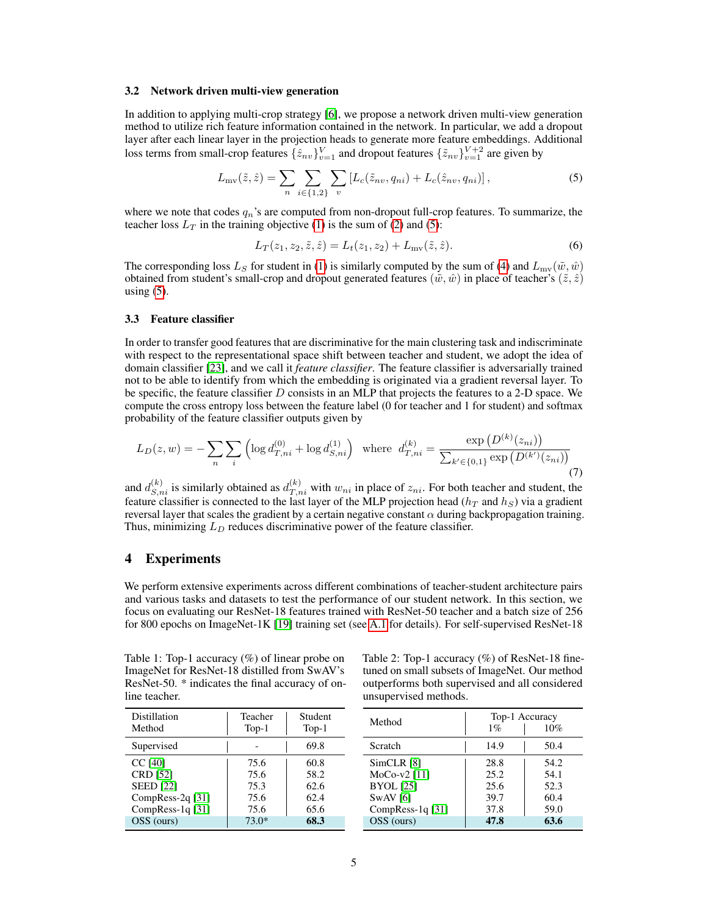#### <span id="page-4-1"></span>3.2 Network driven multi-view generation

In addition to applying multi-crop strategy [\[6\]](#page-9-1), we propose a network driven multi-view generation method to utilize rich feature information contained in the network. In particular, we add a dropout layer after each linear layer in the projection heads to generate more feature embeddings. Additional loss terms from small-crop features  $\{\hat{z}_{nv}\}_{v=1}^V$  and dropout features  $\{\tilde{z}_{nv}\}_{v=1}^{V+2}$  are given by

$$
L_{\rm mv}(\tilde{z}, \hat{z}) = \sum_{n} \sum_{i \in \{1, 2\}} \sum_{v} \left[ L_c(\tilde{z}_{nv}, q_{ni}) + L_c(\hat{z}_{nv}, q_{ni}) \right],\tag{5}
$$

where we note that codes  $q_n$ 's are computed from non-dropout full-crop features. To summarize, the teacher loss  $L_T$  in the training objective [\(1\)](#page-3-2) is the sum of [\(2\)](#page-3-1) and [\(5\)](#page-4-3):

<span id="page-4-3"></span>
$$
L_T(z_1, z_2, \tilde{z}, \hat{z}) = L_t(z_1, z_2) + L_{mv}(\tilde{z}, \hat{z}).
$$
\n(6)

The corresponding loss  $L_S$  for student in [\(1\)](#page-3-2) is similarly computed by the sum of [\(4\)](#page-3-3) and  $L_{\text{mv}}(\tilde{w}, \hat{w})$ obtained from student's small-crop and dropout generated features ( $\tilde{w}, \hat{w}$ ) in place of teacher's ( $\tilde{z}, \hat{z}$ ) using  $(5)$ .

#### <span id="page-4-2"></span>3.3 Feature classifier

In order to transfer good features that are discriminative for the main clustering task and indiscriminate with respect to the representational space shift between teacher and student, we adopt the idea of domain classifier [\[23\]](#page-10-3), and we call it *feature classifier*. The feature classifier is adversarially trained not to be able to identify from which the embedding is originated via a gradient reversal layer. To be specific, the feature classifier  $D$  consists in an MLP that projects the features to a 2-D space. We compute the cross entropy loss between the feature label (0 for teacher and 1 for student) and softmax probability of the feature classifier outputs given by

$$
L_D(z, w) = -\sum_{n} \sum_{i} \left( \log d_{T, ni}^{(0)} + \log d_{S, ni}^{(1)} \right) \text{ where } d_{T, ni}^{(k)} = \frac{\exp(D^{(k)}(z_{ni}))}{\sum_{k' \in \{0, 1\}} \exp(D^{(k')}(z_{ni}))}
$$
(7)

and  $d_{S,n_i}^{(k)}$  is similarly obtained as  $d_{T,n_i}^{(k)}$  with  $w_{ni}$  in place of  $z_{ni}$ . For both teacher and student, the feature classifier is connected to the last layer of the MLP projection head ( $h_T$  and  $h_S$ ) via a gradient reversal layer that scales the gradient by a certain negative constant  $\alpha$  during backpropagation training. Thus, minimizing  $L_D$  reduces discriminative power of the feature classifier.

## 4 Experiments

We perform extensive experiments across different combinations of teacher-student architecture pairs and various tasks and datasets to test the performance of our student network. In this section, we focus on evaluating our ResNet-18 features trained with ResNet-50 teacher and a batch size of 256 for 800 epochs on ImageNet-1K [\[19\]](#page-10-9) training set (see [A.1](#page--1-0) for details). For self-supervised ResNet-18

<span id="page-4-0"></span>Table 1: Top-1 accuracy (%) of linear probe on ImageNet for ResNet-18 distilled from SwAV's ResNet-50. \* indicates the final accuracy of online teacher.

| Distillation<br>Method | Teacher<br>$Top-1$ | Student<br>$Top-1$ |
|------------------------|--------------------|--------------------|
| Supervised             |                    | 69.8               |
| <b>CC [40]</b>         | 75.6               | 60.8               |
| <b>CRD</b> [52]        | 75.6               | 58.2               |
| <b>SEED</b> [22]       | 75.3               | 62.6               |
| CompRess-2q [31]       | 75.6               | 62.4               |
| CompRess-1q [31]       | 75.6               | 65.6               |
| OSS (ours)             | $73.0*$            | 68.3               |

Table 2: Top-1 accuracy (%) of ResNet-18 finetuned on small subsets of ImageNet. Our method outperforms both supervised and all considered unsupervised methods.

| Method                                                                           | Top-1 Accuracy<br>$1\%$              | 10%                                  |
|----------------------------------------------------------------------------------|--------------------------------------|--------------------------------------|
| Scratch                                                                          | 14.9                                 | 50.4                                 |
| SimCLR [8]<br>MoCo-v2 [11]<br><b>BYOL</b> [25]<br>$SwAV$ [6]<br>CompRess-1q [31] | 28.8<br>25.2<br>25.6<br>39.7<br>37.8 | 54.2<br>54.1<br>52.3<br>60.4<br>59.0 |
| OSS (ours)                                                                       | 47.8                                 | 63.6                                 |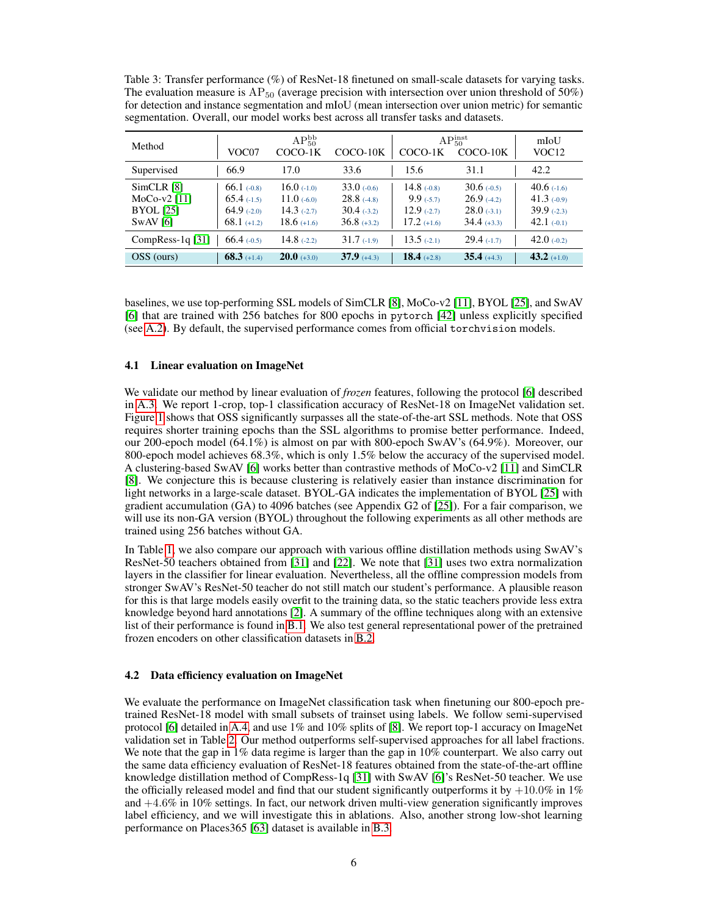<span id="page-5-0"></span>Table 3: Transfer performance (%) of ResNet-18 finetuned on small-scale datasets for varying tasks. The evaluation measure is  $AP_{50}$  (average precision with intersection over union threshold of 50%) for detection and instance segmentation and mIoU (mean intersection over union metric) for semantic segmentation. Overall, our model works best across all transfer tasks and datasets.

| Method                                                        | VOC07                                                            | $AP_{50}^{bb}$<br>COCO-1K                                        | COCO-10K                                                     | COCO-1K                                                           | $AP_{50}^{inst}$<br>COCO-10K                                    | mIoU<br>VOC <sub>12</sub>                                        |
|---------------------------------------------------------------|------------------------------------------------------------------|------------------------------------------------------------------|--------------------------------------------------------------|-------------------------------------------------------------------|-----------------------------------------------------------------|------------------------------------------------------------------|
| Supervised                                                    | 66.9                                                             | 17.0                                                             | 33.6                                                         | 15.6                                                              | 31.1                                                            | 42.2                                                             |
| SimCLR [8]<br>$MoCo-v2[11]$<br><b>BYOL</b> [25]<br>$SwAV$ [6] | $66.1$ (-0.8)<br>$65.4$ (-1.5)<br>$64.9$ (-2.0)<br>$68.1$ (+1.2) | 16.0 $(-1.0)$<br>11.0 $(-6.0)$<br>14.3 $(-2.7)$<br>$18.6$ (+1.6) | $33.0\,(0.6)$<br>28.8(4.8)<br>$30.4( -3.2)$<br>$36.8$ (+3.2) | 14.8 $(-0.8)$<br>$9.9( -5.7)$<br>$12.9$ $(-2.7)$<br>$17.2$ (+1.6) | $30.6(-0.5)$<br>26.9(4.2)<br>$28.0\,(-.3.1)$<br>$34.4$ $(+3.3)$ | 40.6 $(-1.6)$<br>41.3 $(-0.9)$<br>$39.9( -2.3)$<br>42.1 $(-0.1)$ |
| $CompRes-1q [31]$                                             | 66.4(.0.5)                                                       | 14.8 $(-2.2)$                                                    | $31.7( -1.9)$                                                | 13.5 $(-2.1)$                                                     | $29.4(-1.7)$                                                    | 42.0 $(-0.2)$                                                    |
| OSS (ours)                                                    | $68.3$ (+1.4)                                                    | $20.0$ (+3.0)                                                    | $37.9(+4.3)$                                                 | 18.4 $(+2.8)$                                                     | $35.4(+4.3)$                                                    | 43.2 $(+1.0)$                                                    |

baselines, we use top-performing SSL models of SimCLR [\[8\]](#page-9-0), MoCo-v2 [\[11\]](#page-10-2), BYOL [\[25\]](#page-10-0), and SwAV [\[6\]](#page-9-1) that are trained with 256 batches for 800 epochs in pytorch [\[42\]](#page-12-7) unless explicitly specified (see [A.2\)](#page--1-1). By default, the supervised performance comes from official torchvision models.

### 4.1 Linear evaluation on ImageNet

We validate our method by linear evaluation of *frozen* features, following the protocol [\[6\]](#page-9-1) described in [A.3.](#page--1-2) We report 1-crop, top-1 classification accuracy of ResNet-18 on ImageNet validation set. Figure [1](#page-1-0) shows that OSS significantly surpasses all the state-of-the-art SSL methods. Note that OSS requires shorter training epochs than the SSL algorithms to promise better performance. Indeed, our 200-epoch model (64.1%) is almost on par with 800-epoch SwAV's (64.9%). Moreover, our 800-epoch model achieves 68.3%, which is only 1.5% below the accuracy of the supervised model. A clustering-based SwAV [\[6\]](#page-9-1) works better than contrastive methods of MoCo-v2 [\[11\]](#page-10-2) and SimCLR [\[8\]](#page-9-0). We conjecture this is because clustering is relatively easier than instance discrimination for light networks in a large-scale dataset. BYOL-GA indicates the implementation of BYOL [\[25\]](#page-10-0) with gradient accumulation (GA) to 4096 batches (see Appendix G2 of [\[25\]](#page-10-0)). For a fair comparison, we will use its non-GA version (BYOL) throughout the following experiments as all other methods are trained using 256 batches without GA.

In Table [1,](#page-4-0) we also compare our approach with various offline distillation methods using SwAV's ResNet-50 teachers obtained from [\[31\]](#page-11-3) and [\[22\]](#page-10-1). We note that [\[31\]](#page-11-3) uses two extra normalization layers in the classifier for linear evaluation. Nevertheless, all the offline compression models from stronger SwAV's ResNet-50 teacher do not still match our student's performance. A plausible reason for this is that large models easily overfit to the training data, so the static teachers provide less extra knowledge beyond hard annotations [\[2\]](#page-9-7). A summary of the offline techniques along with an extensive list of their performance is found in [B.1.](#page--1-3) We also test general representational power of the pretrained frozen encoders on other classification datasets in [B.2.](#page--1-4)

#### 4.2 Data efficiency evaluation on ImageNet

We evaluate the performance on ImageNet classification task when finetuning our 800-epoch pretrained ResNet-18 model with small subsets of trainset using labels. We follow semi-supervised protocol [\[6\]](#page-9-1) detailed in [A.4,](#page--1-5) and use 1% and 10% splits of [\[8\]](#page-9-0). We report top-1 accuracy on ImageNet validation set in Table [2.](#page-4-0) Our method outperforms self-supervised approaches for all label fractions. We note that the gap in 1% data regime is larger than the gap in 10% counterpart. We also carry out the same data efficiency evaluation of ResNet-18 features obtained from the state-of-the-art offline knowledge distillation method of CompRess-1q [\[31\]](#page-11-3) with SwAV [\[6\]](#page-9-1)'s ResNet-50 teacher. We use the officially released model and find that our student significantly outperforms it by  $+10.0\%$  in 1% and +4.6% in 10% settings. In fact, our network driven multi-view generation significantly improves label efficiency, and we will investigate this in ablations. Also, another strong low-shot learning performance on Places365 [\[63\]](#page-13-3) dataset is available in [B.3.](#page--1-6)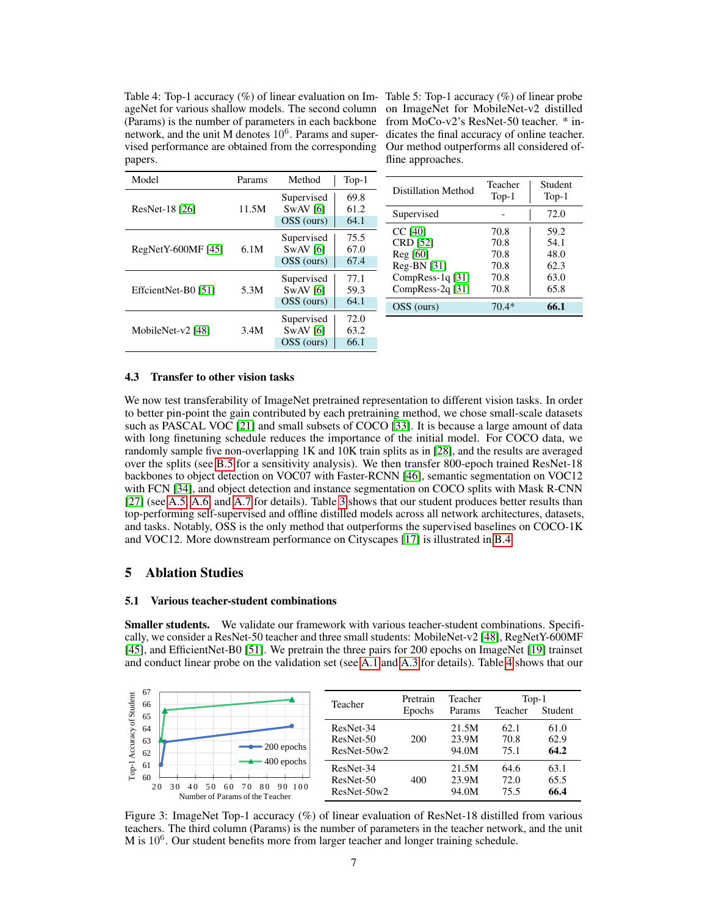<span id="page-6-1"></span>Table 4: Top-1 accuracy (%) of linear evaluation on Im-Table 5: Top-1 accuracy (%) of linear probe ageNet for various shallow models. The second column on ImageNet for MobileNet-v2 distilled (Params) is the number of parameters in each backbone from MoCo-v2's ResNet-50 teacher. \* innetwork, and the unit M denotes  $10<sup>6</sup>$ . Params and super- dicates the final accuracy of online teacher. vised performance are obtained from the corresponding papers.

Our method outperforms all considered offline approaches.

| Model               | Params | Method                                 | $Top-1$              |                                                            | Teacher                      | Student                      |
|---------------------|--------|----------------------------------------|----------------------|------------------------------------------------------------|------------------------------|------------------------------|
|                     |        | Supervised                             | 69.8                 | Distillation Method                                        | $Top-1$                      | $Top-1$                      |
| ResNet-18 [26]      | 11.5M  | $SWAV$ [6]<br>OSS (ours)               | 61.2<br>64.1         | Supervised                                                 |                              | 72.0                         |
| $RegNetY-600MF[45]$ | 6.1M   | Supervised<br>$SWAV$ [6]<br>OSS (ours) | 75.5<br>67.0<br>67.4 | CC [40]<br>CRD [52]<br>$\text{Reg } [60]$<br>$Reg-BN [31]$ | 70.8<br>70.8<br>70.8<br>70.8 | 59.2<br>54.1<br>48.0<br>62.3 |
| EffcientNet-B0 [51] | 5.3M   | Supervised<br>$SWAV$ [6]<br>OSS (ours) | 77.1<br>59.3<br>64.1 | CompRess-1q $[31]$<br>CompRess-2q $[31]$<br>OSS (ours)     | 70.8<br>70.8<br>$70.4*$      | 63.0<br>65.8<br>66.1         |
| MobileNet-v2 [48]   | 3.4M   | Supervised<br>$SWAV$ [6]<br>OSS (ours) | 72.0<br>63.2<br>66.1 |                                                            |                              |                              |

#### 4.3 Transfer to other vision tasks

We now test transferability of ImageNet pretrained representation to different vision tasks. In order to better pin-point the gain contributed by each pretraining method, we chose small-scale datasets such as PASCAL VOC [\[21\]](#page-10-10) and small subsets of COCO [\[33\]](#page-11-11). It is because a large amount of data with long finetuning schedule reduces the importance of the initial model. For COCO data, we randomly sample five non-overlapping 1K and 10K train splits as in [\[28\]](#page-11-12), and the results are averaged over the splits (see [B.5](#page--1-5) for a sensitivity analysis). We then transfer 800-epoch trained ResNet-18 backbones to object detection on VOC07 with Faster-RCNN [\[46\]](#page-12-11), semantic segmentation on VOC12 with FCN [\[34\]](#page-11-13), and object detection and instance segmentation on COCO splits with Mask R-CNN [\[27\]](#page-11-14) (see [A.5,](#page--1-7) [A.6,](#page--1-8) and [A.7](#page--1-9) for details). Table [3](#page-5-0) shows that our student produces better results than top-performing self-supervised and offline distilled models across all network architectures, datasets, and tasks. Notably, OSS is the only method that outperforms the supervised baselines on COCO-1K and VOC12. More downstream performance on Cityscapes [\[17\]](#page-10-11) is illustrated in [B.4.](#page--1-10)

## <span id="page-6-0"></span>5 Ablation Studies

#### 5.1 Various teacher-student combinations

Smaller students. We validate our framework with various teacher-student combinations. Specifically, we consider a ResNet-50 teacher and three small students: MobileNet-v2 [\[48\]](#page-12-10), RegNetY-600MF [\[45\]](#page-12-8), and EfficientNet-B0 [\[51\]](#page-12-9). We pretrain the three pairs for 200 epochs on ImageNet [\[19\]](#page-10-9) trainset and conduct linear probe on the validation set (see [A.1](#page--1-0) and [A.3](#page--1-2) for details). Table [4](#page-6-1) shows that our

<span id="page-6-2"></span>

Figure 3: ImageNet Top-1 accuracy (%) of linear evaluation of ResNet-18 distilled from various teachers. The third column (Params) is the number of parameters in the teacher network, and the unit M is  $10^6$ . Our student benefits more from larger teacher and longer training schedule.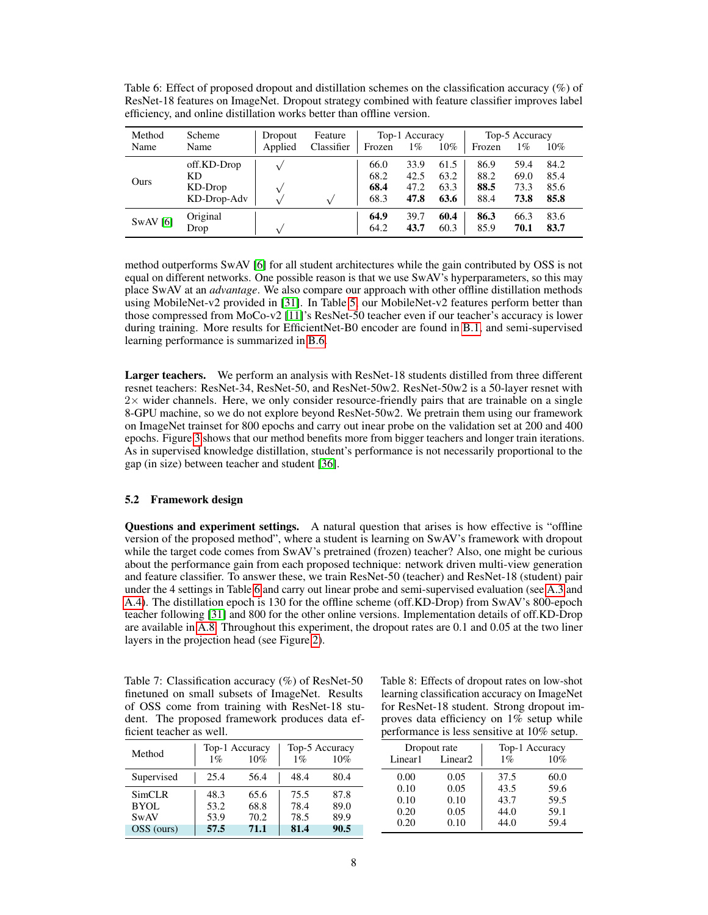<span id="page-7-0"></span>Table 6: Effect of proposed dropout and distillation schemes on the classification accuracy (%) of ResNet-18 features on ImageNet. Dropout strategy combined with feature classifier improves label efficiency, and online distillation works better than offline version.

| Method  | Scheme           | Dropout | Feature    |              | Top-1 Accuracy |              |              | Top-5 Accuracy |              |
|---------|------------------|---------|------------|--------------|----------------|--------------|--------------|----------------|--------------|
| Name    | Name             | Applied | Classifier | Frozen       | 1%             | 10%          | Frozen       | 1%             | 10%          |
|         | off.KD-Drop      |         |            | 66.0         | 33.9           | 61.5         | 86.9         | 59.4           | 84.2         |
|         | KD               |         |            | 68.2         | 42.5           | 63.2         | 88.2         | 69.0           | 85.4         |
| Ours    | KD-Drop          |         |            | 68.4         | 47.2           | 63.3         | 88.5         | 73.3           | 85.6         |
|         | KD-Drop-Adv      |         |            | 68.3         | 47.8           | 63.6         | 88.4         | 73.8           | 85.8         |
| SwAV[6] | Original<br>Drop |         |            | 64.9<br>64.2 | 39.7<br>43.7   | 60.4<br>60.3 | 86.3<br>85.9 | 66.3<br>70.1   | 83.6<br>83.7 |

method outperforms SwAV [\[6\]](#page-9-1) for all student architectures while the gain contributed by OSS is not equal on different networks. One possible reason is that we use SwAV's hyperparameters, so this may place SwAV at an *advantage*. We also compare our approach with other offline distillation methods using MobileNet-v2 provided in [\[31\]](#page-11-3). In Table [5,](#page-6-1) our MobileNet-v2 features perform better than those compressed from MoCo-v2 [\[11\]](#page-10-2)'s ResNet-50 teacher even if our teacher's accuracy is lower during training. More results for EfficientNet-B0 encoder are found in [B.1,](#page--1-3) and semi-supervised learning performance is summarized in [B.6.](#page--1-5)

Larger teachers. We perform an analysis with ResNet-18 students distilled from three different resnet teachers: ResNet-34, ResNet-50, and ResNet-50w2. ResNet-50w2 is a 50-layer resnet with  $2\times$  wider channels. Here, we only consider resource-friendly pairs that are trainable on a single 8-GPU machine, so we do not explore beyond ResNet-50w2. We pretrain them using our framework on ImageNet trainset for 800 epochs and carry out inear probe on the validation set at 200 and 400 epochs. Figure [3](#page-6-2) shows that our method benefits more from bigger teachers and longer train iterations. As in supervised knowledge distillation, student's performance is not necessarily proportional to the gap (in size) between teacher and student [\[36\]](#page-11-5).

#### 5.2 Framework design

Questions and experiment settings. A natural question that arises is how effective is "offline version of the proposed method", where a student is learning on SwAV's framework with dropout while the target code comes from SwAV's pretrained (frozen) teacher? Also, one might be curious about the performance gain from each proposed technique: network driven multi-view generation and feature classifier. To answer these, we train ResNet-50 (teacher) and ResNet-18 (student) pair under the 4 settings in Table [6](#page-7-0) and carry out linear probe and semi-supervised evaluation (see [A.3](#page--1-2) and [A.4\)](#page--1-5). The distillation epoch is 130 for the offline scheme (off.KD-Drop) from SwAV's 800-epoch teacher following [\[31\]](#page-11-3) and 800 for the other online versions. Implementation details of off.KD-Drop are available in [A.8.](#page--1-11) Throughout this experiment, the dropout rates are 0.1 and 0.05 at the two liner layers in the projection head (see Figure [2\)](#page-2-0).

<span id="page-7-1"></span>Table 7: Classification accuracy (%) of ResNet-50 finetuned on small subsets of ImageNet. Results of OSS come from training with ResNet-18 student. The proposed framework produces data efficient teacher as well.

| Method      | Top-1 Accuracy<br>10%<br>$1\%$ |      | Top-5 Accuracy<br>$1\%$<br>$10\%$ |      |  |
|-------------|--------------------------------|------|-----------------------------------|------|--|
| Supervised  | 25.4                           | 56.4 | 48.4                              | 80.4 |  |
| SimCLR      | 48.3                           | 65.6 | 75.5                              | 87.8 |  |
| BYOL        | 53.2                           | 68.8 | 78.4                              | 89.0 |  |
| <b>SwAV</b> | 53.9                           | 70.2 | 78.5                              | 89.9 |  |
| OSS (ours)  | 57.5                           | 71.1 | 81.4                              | 90.5 |  |

Table 8: Effects of dropout rates on low-shot learning classification accuracy on ImageNet for ResNet-18 student. Strong dropout improves data efficiency on 1% setup while performance is less sensitive at 10% setup.

| Dropout rate |                     | Top-1 Accuracy |      |  |
|--------------|---------------------|----------------|------|--|
| Linear1      | Linear <sub>2</sub> | $1\%$          | 10%  |  |
| 0.00         | 0.05                | 37.5           | 60.0 |  |
| 0.10         | 0.05                | 43.5           | 59.6 |  |
| 0.10         | 0.10                | 43.7           | 59.5 |  |
| 0.20         | 0.05                | 44.0           | 59.1 |  |
| 0.20         | 0.10                | 44.0           | 59.4 |  |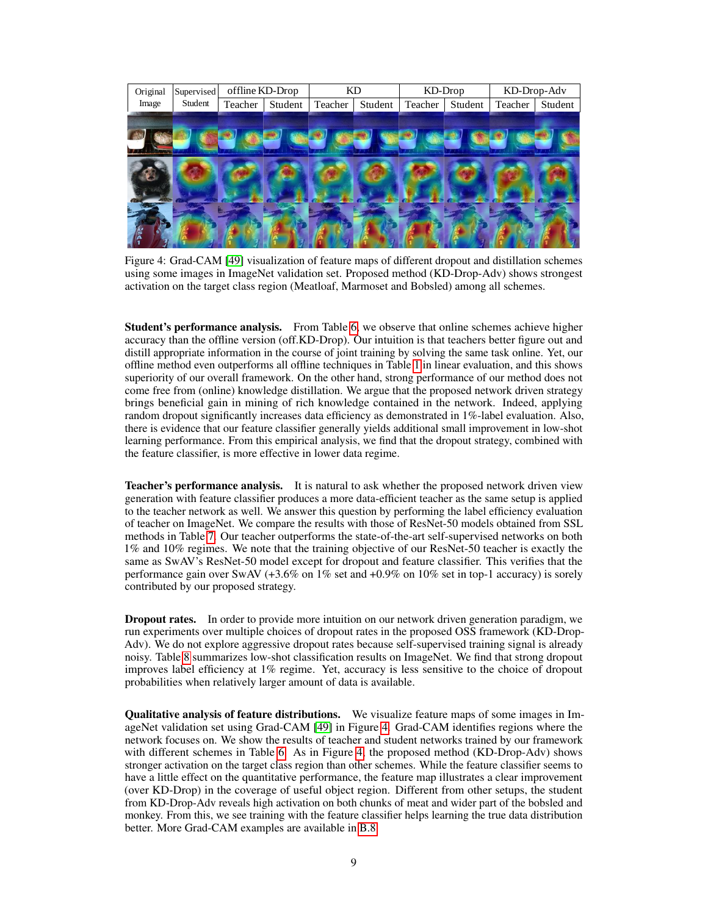<span id="page-8-0"></span>

Figure 4: Grad-CAM [\[49\]](#page-12-12) visualization of feature maps of different dropout and distillation schemes using some images in ImageNet validation set. Proposed method (KD-Drop-Adv) shows strongest activation on the target class region (Meatloaf, Marmoset and Bobsled) among all schemes.

Student's performance analysis. From Table [6,](#page-7-0) we observe that online schemes achieve higher accuracy than the offline version (off.KD-Drop). Our intuition is that teachers better figure out and distill appropriate information in the course of joint training by solving the same task online. Yet, our offline method even outperforms all offline techniques in Table [1](#page-4-0) in linear evaluation, and this shows superiority of our overall framework. On the other hand, strong performance of our method does not come free from (online) knowledge distillation. We argue that the proposed network driven strategy brings beneficial gain in mining of rich knowledge contained in the network. Indeed, applying random dropout significantly increases data efficiency as demonstrated in 1%-label evaluation. Also, there is evidence that our feature classifier generally yields additional small improvement in low-shot learning performance. From this empirical analysis, we find that the dropout strategy, combined with the feature classifier, is more effective in lower data regime.

**Teacher's performance analysis.** It is natural to ask whether the proposed network driven view generation with feature classifier produces a more data-efficient teacher as the same setup is applied to the teacher network as well. We answer this question by performing the label efficiency evaluation of teacher on ImageNet. We compare the results with those of ResNet-50 models obtained from SSL methods in Table [7.](#page-7-1) Our teacher outperforms the state-of-the-art self-supervised networks on both 1% and 10% regimes. We note that the training objective of our ResNet-50 teacher is exactly the same as SwAV's ResNet-50 model except for dropout and feature classifier. This verifies that the performance gain over SwAV (+3.6% on 1% set and +0.9% on 10% set in top-1 accuracy) is sorely contributed by our proposed strategy.

**Dropout rates.** In order to provide more intuition on our network driven generation paradigm, we run experiments over multiple choices of dropout rates in the proposed OSS framework (KD-Drop-Adv). We do not explore aggressive dropout rates because self-supervised training signal is already noisy. Table [8](#page-7-1) summarizes low-shot classification results on ImageNet. We find that strong dropout improves label efficiency at 1% regime. Yet, accuracy is less sensitive to the choice of dropout probabilities when relatively larger amount of data is available.

Qualitative analysis of feature distributions. We visualize feature maps of some images in ImageNet validation set using Grad-CAM [\[49\]](#page-12-12) in Figure [4.](#page-8-0) Grad-CAM identifies regions where the network focuses on. We show the results of teacher and student networks trained by our framework with different schemes in Table [6.](#page-7-0) As in Figure [4,](#page-8-0) the proposed method (KD-Drop-Adv) shows stronger activation on the target class region than other schemes. While the feature classifier seems to have a little effect on the quantitative performance, the feature map illustrates a clear improvement (over KD-Drop) in the coverage of useful object region. Different from other setups, the student from KD-Drop-Adv reveals high activation on both chunks of meat and wider part of the bobsled and monkey. From this, we see training with the feature classifier helps learning the true data distribution better. More Grad-CAM examples are available in [B.8.](#page--1-5)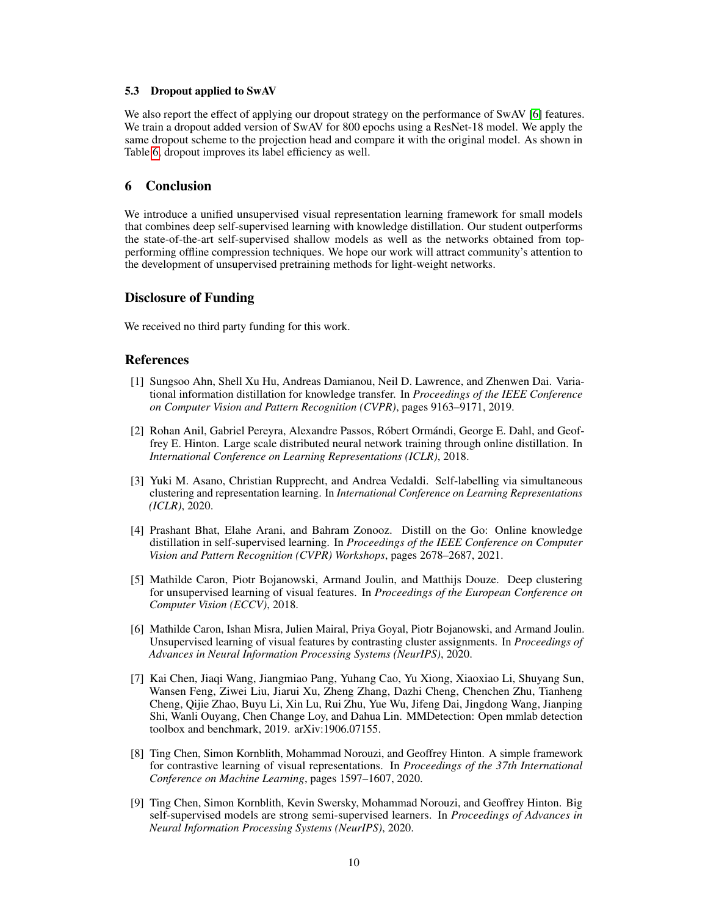### 5.3 Dropout applied to SwAV

We also report the effect of applying our dropout strategy on the performance of SwAV [\[6\]](#page-9-1) features. We train a dropout added version of SwAV for 800 epochs using a ResNet-18 model. We apply the same dropout scheme to the projection head and compare it with the original model. As shown in Table [6,](#page-7-0) dropout improves its label efficiency as well.

## 6 Conclusion

We introduce a unified unsupervised visual representation learning framework for small models that combines deep self-supervised learning with knowledge distillation. Our student outperforms the state-of-the-art self-supervised shallow models as well as the networks obtained from topperforming offline compression techniques. We hope our work will attract community's attention to the development of unsupervised pretraining methods for light-weight networks.

## Disclosure of Funding

We received no third party funding for this work.

## References

- <span id="page-9-5"></span>[1] Sungsoo Ahn, Shell Xu Hu, Andreas Damianou, Neil D. Lawrence, and Zhenwen Dai. Variational information distillation for knowledge transfer. In *Proceedings of the IEEE Conference on Computer Vision and Pattern Recognition (CVPR)*, pages 9163–9171, 2019.
- <span id="page-9-7"></span>[2] Rohan Anil, Gabriel Pereyra, Alexandre Passos, Róbert Ormándi, George E. Dahl, and Geoffrey E. Hinton. Large scale distributed neural network training through online distillation. In *International Conference on Learning Representations (ICLR)*, 2018.
- <span id="page-9-3"></span>[3] Yuki M. Asano, Christian Rupprecht, and Andrea Vedaldi. Self-labelling via simultaneous clustering and representation learning. In *International Conference on Learning Representations (ICLR)*, 2020.
- <span id="page-9-6"></span>[4] Prashant Bhat, Elahe Arani, and Bahram Zonooz. Distill on the Go: Online knowledge distillation in self-supervised learning. In *Proceedings of the IEEE Conference on Computer Vision and Pattern Recognition (CVPR) Workshops*, pages 2678–2687, 2021.
- <span id="page-9-4"></span>[5] Mathilde Caron, Piotr Bojanowski, Armand Joulin, and Matthijs Douze. Deep clustering for unsupervised learning of visual features. In *Proceedings of the European Conference on Computer Vision (ECCV)*, 2018.
- <span id="page-9-1"></span>[6] Mathilde Caron, Ishan Misra, Julien Mairal, Priya Goyal, Piotr Bojanowski, and Armand Joulin. Unsupervised learning of visual features by contrasting cluster assignments. In *Proceedings of Advances in Neural Information Processing Systems (NeurIPS)*, 2020.
- [7] Kai Chen, Jiaqi Wang, Jiangmiao Pang, Yuhang Cao, Yu Xiong, Xiaoxiao Li, Shuyang Sun, Wansen Feng, Ziwei Liu, Jiarui Xu, Zheng Zhang, Dazhi Cheng, Chenchen Zhu, Tianheng Cheng, Qijie Zhao, Buyu Li, Xin Lu, Rui Zhu, Yue Wu, Jifeng Dai, Jingdong Wang, Jianping Shi, Wanli Ouyang, Chen Change Loy, and Dahua Lin. MMDetection: Open mmlab detection toolbox and benchmark, 2019. arXiv:1906.07155.
- <span id="page-9-0"></span>[8] Ting Chen, Simon Kornblith, Mohammad Norouzi, and Geoffrey Hinton. A simple framework for contrastive learning of visual representations. In *Proceedings of the 37th International Conference on Machine Learning*, pages 1597–1607, 2020.
- <span id="page-9-2"></span>[9] Ting Chen, Simon Kornblith, Kevin Swersky, Mohammad Norouzi, and Geoffrey Hinton. Big self-supervised models are strong semi-supervised learners. In *Proceedings of Advances in Neural Information Processing Systems (NeurIPS)*, 2020.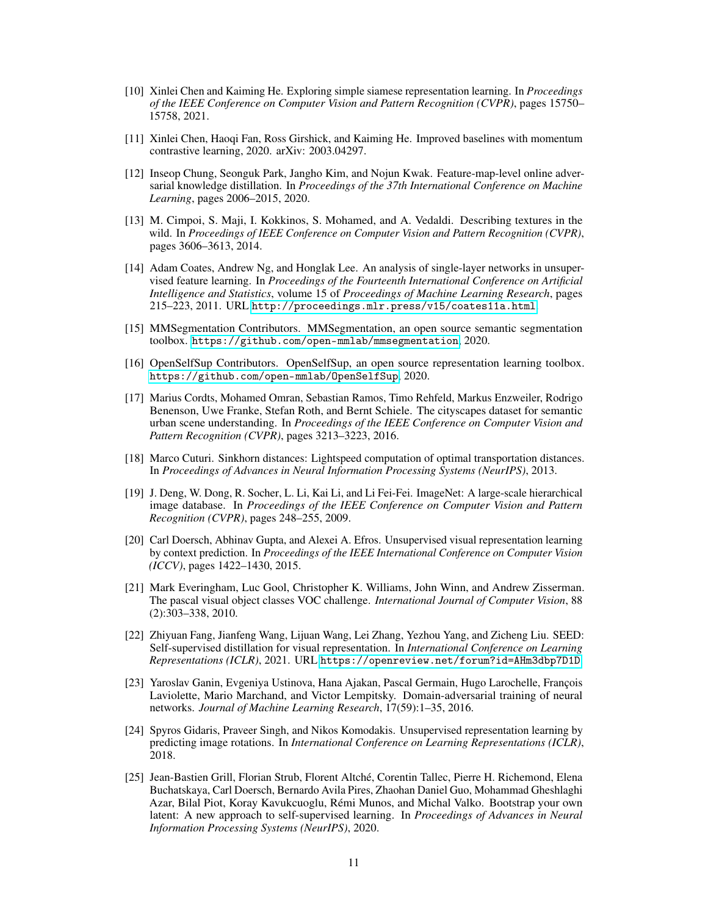- <span id="page-10-4"></span>[10] Xinlei Chen and Kaiming He. Exploring simple siamese representation learning. In *Proceedings of the IEEE Conference on Computer Vision and Pattern Recognition (CVPR)*, pages 15750– 15758, 2021.
- <span id="page-10-2"></span>[11] Xinlei Chen, Haoqi Fan, Ross Girshick, and Kaiming He. Improved baselines with momentum contrastive learning, 2020. arXiv: 2003.04297.
- <span id="page-10-7"></span>[12] Inseop Chung, Seonguk Park, Jangho Kim, and Nojun Kwak. Feature-map-level online adversarial knowledge distillation. In *Proceedings of the 37th International Conference on Machine Learning*, pages 2006–2015, 2020.
- [13] M. Cimpoi, S. Maji, I. Kokkinos, S. Mohamed, and A. Vedaldi. Describing textures in the wild. In *Proceedings of IEEE Conference on Computer Vision and Pattern Recognition (CVPR)*, pages 3606–3613, 2014.
- [14] Adam Coates, Andrew Ng, and Honglak Lee. An analysis of single-layer networks in unsupervised feature learning. In *Proceedings of the Fourteenth International Conference on Artificial Intelligence and Statistics*, volume 15 of *Proceedings of Machine Learning Research*, pages 215–223, 2011. URL <http://proceedings.mlr.press/v15/coates11a.html>.
- [15] MMSegmentation Contributors. MMSegmentation, an open source semantic segmentation toolbox. <https://github.com/open-mmlab/mmsegmentation>, 2020.
- [16] OpenSelfSup Contributors. OpenSelfSup, an open source representation learning toolbox. <https://github.com/open-mmlab/OpenSelfSup>, 2020.
- <span id="page-10-11"></span>[17] Marius Cordts, Mohamed Omran, Sebastian Ramos, Timo Rehfeld, Markus Enzweiler, Rodrigo Benenson, Uwe Franke, Stefan Roth, and Bernt Schiele. The cityscapes dataset for semantic urban scene understanding. In *Proceedings of the IEEE Conference on Computer Vision and Pattern Recognition (CVPR)*, pages 3213–3223, 2016.
- <span id="page-10-8"></span>[18] Marco Cuturi. Sinkhorn distances: Lightspeed computation of optimal transportation distances. In *Proceedings of Advances in Neural Information Processing Systems (NeurIPS)*, 2013.
- <span id="page-10-9"></span>[19] J. Deng, W. Dong, R. Socher, L. Li, Kai Li, and Li Fei-Fei. ImageNet: A large-scale hierarchical image database. In *Proceedings of the IEEE Conference on Computer Vision and Pattern Recognition (CVPR)*, pages 248–255, 2009.
- <span id="page-10-5"></span>[20] Carl Doersch, Abhinav Gupta, and Alexei A. Efros. Unsupervised visual representation learning by context prediction. In *Proceedings of the IEEE International Conference on Computer Vision (ICCV)*, pages 1422–1430, 2015.
- <span id="page-10-10"></span>[21] Mark Everingham, Luc Gool, Christopher K. Williams, John Winn, and Andrew Zisserman. The pascal visual object classes VOC challenge. *International Journal of Computer Vision*, 88 (2):303–338, 2010.
- <span id="page-10-1"></span>[22] Zhiyuan Fang, Jianfeng Wang, Lijuan Wang, Lei Zhang, Yezhou Yang, and Zicheng Liu. SEED: Self-supervised distillation for visual representation. In *International Conference on Learning Representations (ICLR)*, 2021. URL <https://openreview.net/forum?id=AHm3dbp7D1D>.
- <span id="page-10-3"></span>[23] Yaroslav Ganin, Evgeniya Ustinova, Hana Ajakan, Pascal Germain, Hugo Larochelle, François Laviolette, Mario Marchand, and Victor Lempitsky. Domain-adversarial training of neural networks. *Journal of Machine Learning Research*, 17(59):1–35, 2016.
- <span id="page-10-6"></span>[24] Spyros Gidaris, Praveer Singh, and Nikos Komodakis. Unsupervised representation learning by predicting image rotations. In *International Conference on Learning Representations (ICLR)*, 2018.
- <span id="page-10-0"></span>[25] Jean-Bastien Grill, Florian Strub, Florent Altché, Corentin Tallec, Pierre H. Richemond, Elena Buchatskaya, Carl Doersch, Bernardo Avila Pires, Zhaohan Daniel Guo, Mohammad Gheshlaghi Azar, Bilal Piot, Koray Kavukcuoglu, Rémi Munos, and Michal Valko. Bootstrap your own latent: A new approach to self-supervised learning. In *Proceedings of Advances in Neural Information Processing Systems (NeurIPS)*, 2020.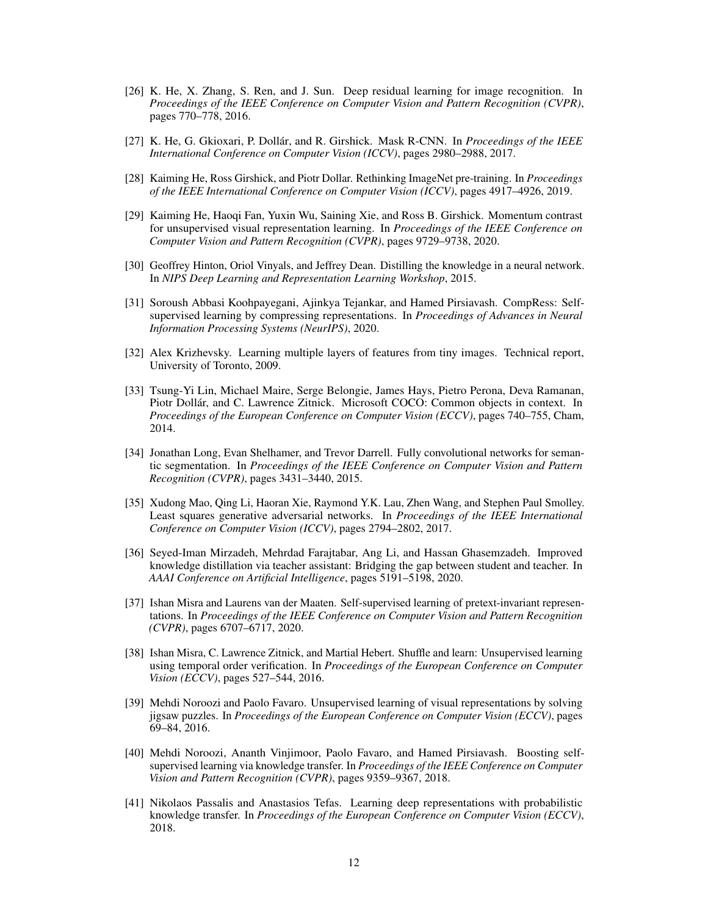- <span id="page-11-1"></span>[26] K. He, X. Zhang, S. Ren, and J. Sun. Deep residual learning for image recognition. In *Proceedings of the IEEE Conference on Computer Vision and Pattern Recognition (CVPR)*, pages 770–778, 2016.
- <span id="page-11-14"></span>[27] K. He, G. Gkioxari, P. Dollár, and R. Girshick. Mask R-CNN. In *Proceedings of the IEEE International Conference on Computer Vision (ICCV)*, pages 2980–2988, 2017.
- <span id="page-11-12"></span>[28] Kaiming He, Ross Girshick, and Piotr Dollar. Rethinking ImageNet pre-training. In *Proceedings of the IEEE International Conference on Computer Vision (ICCV)*, pages 4917–4926, 2019.
- <span id="page-11-0"></span>[29] Kaiming He, Haoqi Fan, Yuxin Wu, Saining Xie, and Ross B. Girshick. Momentum contrast for unsupervised visual representation learning. In *Proceedings of the IEEE Conference on Computer Vision and Pattern Recognition (CVPR)*, pages 9729–9738, 2020.
- <span id="page-11-4"></span>[30] Geoffrey Hinton, Oriol Vinyals, and Jeffrey Dean. Distilling the knowledge in a neural network. In *NIPS Deep Learning and Representation Learning Workshop*, 2015.
- <span id="page-11-3"></span>[31] Soroush Abbasi Koohpayegani, Ajinkya Tejankar, and Hamed Pirsiavash. CompRess: Selfsupervised learning by compressing representations. In *Proceedings of Advances in Neural Information Processing Systems (NeurIPS)*, 2020.
- [32] Alex Krizhevsky. Learning multiple layers of features from tiny images. Technical report, University of Toronto, 2009.
- <span id="page-11-11"></span>[33] Tsung-Yi Lin, Michael Maire, Serge Belongie, James Hays, Pietro Perona, Deva Ramanan, Piotr Dollár, and C. Lawrence Zitnick. Microsoft COCO: Common objects in context. In *Proceedings of the European Conference on Computer Vision (ECCV)*, pages 740–755, Cham, 2014.
- <span id="page-11-13"></span>[34] Jonathan Long, Evan Shelhamer, and Trevor Darrell. Fully convolutional networks for semantic segmentation. In *Proceedings of the IEEE Conference on Computer Vision and Pattern Recognition (CVPR)*, pages 3431–3440, 2015.
- <span id="page-11-10"></span>[35] Xudong Mao, Qing Li, Haoran Xie, Raymond Y.K. Lau, Zhen Wang, and Stephen Paul Smolley. Least squares generative adversarial networks. In *Proceedings of the IEEE International Conference on Computer Vision (ICCV)*, pages 2794–2802, 2017.
- <span id="page-11-5"></span>[36] Seyed-Iman Mirzadeh, Mehrdad Farajtabar, Ang Li, and Hassan Ghasemzadeh. Improved knowledge distillation via teacher assistant: Bridging the gap between student and teacher. In *AAAI Conference on Artificial Intelligence*, pages 5191–5198, 2020.
- <span id="page-11-8"></span>[37] Ishan Misra and Laurens van der Maaten. Self-supervised learning of pretext-invariant representations. In *Proceedings of the IEEE Conference on Computer Vision and Pattern Recognition (CVPR)*, pages 6707–6717, 2020.
- <span id="page-11-6"></span>[38] Ishan Misra, C. Lawrence Zitnick, and Martial Hebert. Shuffle and learn: Unsupervised learning using temporal order verification. In *Proceedings of the European Conference on Computer Vision (ECCV)*, pages 527–544, 2016.
- <span id="page-11-7"></span>[39] Mehdi Noroozi and Paolo Favaro. Unsupervised learning of visual representations by solving jigsaw puzzles. In *Proceedings of the European Conference on Computer Vision (ECCV)*, pages 69–84, 2016.
- <span id="page-11-2"></span>[40] Mehdi Noroozi, Ananth Vinjimoor, Paolo Favaro, and Hamed Pirsiavash. Boosting selfsupervised learning via knowledge transfer. In *Proceedings of the IEEE Conference on Computer Vision and Pattern Recognition (CVPR)*, pages 9359–9367, 2018.
- <span id="page-11-9"></span>[41] Nikolaos Passalis and Anastasios Tefas. Learning deep representations with probabilistic knowledge transfer. In *Proceedings of the European Conference on Computer Vision (ECCV)*, 2018.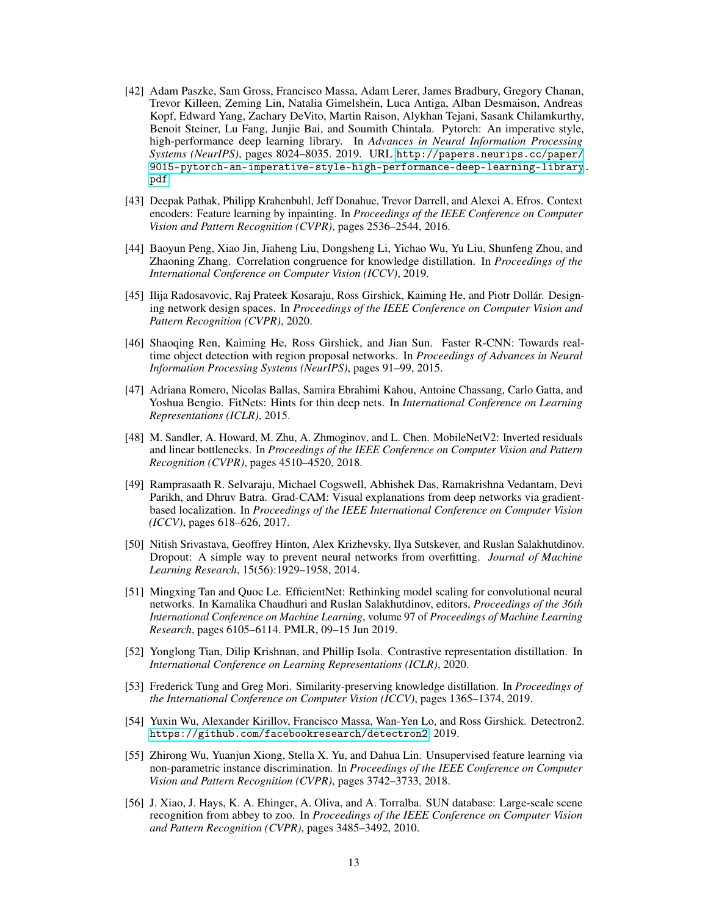- <span id="page-12-7"></span>[42] Adam Paszke, Sam Gross, Francisco Massa, Adam Lerer, James Bradbury, Gregory Chanan, Trevor Killeen, Zeming Lin, Natalia Gimelshein, Luca Antiga, Alban Desmaison, Andreas Kopf, Edward Yang, Zachary DeVito, Martin Raison, Alykhan Tejani, Sasank Chilamkurthy, Benoit Steiner, Lu Fang, Junjie Bai, and Soumith Chintala. Pytorch: An imperative style, high-performance deep learning library. In *Advances in Neural Information Processing Systems (NeurIPS)*, pages 8024–8035. 2019. URL [http://papers.neurips.cc/paper/](http://papers.neurips.cc/paper/9015-pytorch-an-imperative-style-high-performance-deep-learning-library.pdf) [9015-pytorch-an-imperative-style-high-performance-deep-learning-library.](http://papers.neurips.cc/paper/9015-pytorch-an-imperative-style-high-performance-deep-learning-library.pdf) [pdf](http://papers.neurips.cc/paper/9015-pytorch-an-imperative-style-high-performance-deep-learning-library.pdf).
- <span id="page-12-1"></span>[43] Deepak Pathak, Philipp Krahenbuhl, Jeff Donahue, Trevor Darrell, and Alexei A. Efros. Context encoders: Feature learning by inpainting. In *Proceedings of the IEEE Conference on Computer Vision and Pattern Recognition (CVPR)*, pages 2536–2544, 2016.
- <span id="page-12-3"></span>[44] Baoyun Peng, Xiao Jin, Jiaheng Liu, Dongsheng Li, Yichao Wu, Yu Liu, Shunfeng Zhou, and Zhaoning Zhang. Correlation congruence for knowledge distillation. In *Proceedings of the International Conference on Computer Vision (ICCV)*, 2019.
- <span id="page-12-8"></span>[45] Ilija Radosavovic, Raj Prateek Kosaraju, Ross Girshick, Kaiming He, and Piotr Dollár. Designing network design spaces. In *Proceedings of the IEEE Conference on Computer Vision and Pattern Recognition (CVPR)*, 2020.
- <span id="page-12-11"></span>[46] Shaoqing Ren, Kaiming He, Ross Girshick, and Jian Sun. Faster R-CNN: Towards realtime object detection with region proposal networks. In *Proceedings of Advances in Neural Information Processing Systems (NeurIPS)*, pages 91–99, 2015.
- <span id="page-12-4"></span>[47] Adriana Romero, Nicolas Ballas, Samira Ebrahimi Kahou, Antoine Chassang, Carlo Gatta, and Yoshua Bengio. FitNets: Hints for thin deep nets. In *International Conference on Learning Representations (ICLR)*, 2015.
- <span id="page-12-10"></span>[48] M. Sandler, A. Howard, M. Zhu, A. Zhmoginov, and L. Chen. MobileNetV2: Inverted residuals and linear bottlenecks. In *Proceedings of the IEEE Conference on Computer Vision and Pattern Recognition (CVPR)*, pages 4510–4520, 2018.
- <span id="page-12-12"></span>[49] Ramprasaath R. Selvaraju, Michael Cogswell, Abhishek Das, Ramakrishna Vedantam, Devi Parikh, and Dhruv Batra. Grad-CAM: Visual explanations from deep networks via gradientbased localization. In *Proceedings of the IEEE International Conference on Computer Vision (ICCV)*, pages 618–626, 2017.
- <span id="page-12-2"></span>[50] Nitish Srivastava, Geoffrey Hinton, Alex Krizhevsky, Ilya Sutskever, and Ruslan Salakhutdinov. Dropout: A simple way to prevent neural networks from overfitting. *Journal of Machine Learning Research*, 15(56):1929–1958, 2014.
- <span id="page-12-9"></span>[51] Mingxing Tan and Quoc Le. EfficientNet: Rethinking model scaling for convolutional neural networks. In Kamalika Chaudhuri and Ruslan Salakhutdinov, editors, *Proceedings of the 36th International Conference on Machine Learning*, volume 97 of *Proceedings of Machine Learning Research*, pages 6105–6114. PMLR, 09–15 Jun 2019.
- <span id="page-12-5"></span>[52] Yonglong Tian, Dilip Krishnan, and Phillip Isola. Contrastive representation distillation. In *International Conference on Learning Representations (ICLR)*, 2020.
- <span id="page-12-6"></span>[53] Frederick Tung and Greg Mori. Similarity-preserving knowledge distillation. In *Proceedings of the International Conference on Computer Vision (ICCV)*, pages 1365–1374, 2019.
- [54] Yuxin Wu, Alexander Kirillov, Francisco Massa, Wan-Yen Lo, and Ross Girshick. Detectron2. <https://github.com/facebookresearch/detectron2>, 2019.
- <span id="page-12-0"></span>[55] Zhirong Wu, Yuanjun Xiong, Stella X. Yu, and Dahua Lin. Unsupervised feature learning via non-parametric instance discrimination. In *Proceedings of the IEEE Conference on Computer Vision and Pattern Recognition (CVPR)*, pages 3742–3733, 2018.
- [56] J. Xiao, J. Hays, K. A. Ehinger, A. Oliva, and A. Torralba. SUN database: Large-scale scene recognition from abbey to zoo. In *Proceedings of the IEEE Conference on Computer Vision and Pattern Recognition (CVPR)*, pages 3485–3492, 2010.